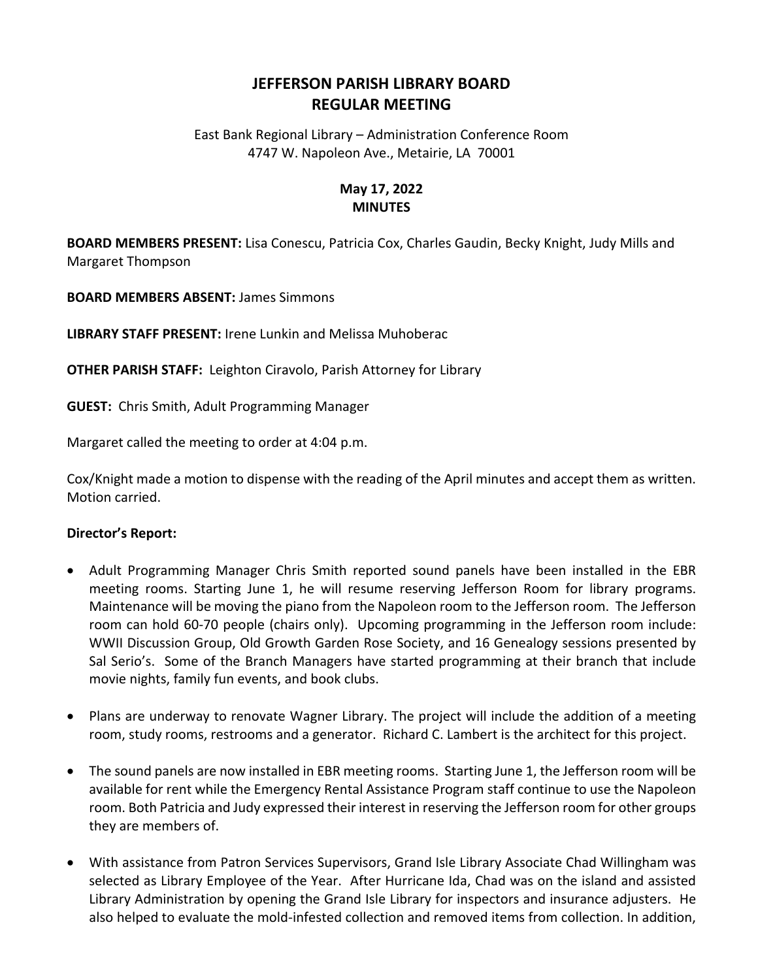## **JEFFERSON PARISH LIBRARY BOARD REGULAR MEETING**

East Bank Regional Library – Administration Conference Room 4747 W. Napoleon Ave., Metairie, LA 70001

## **May 17, 2022 MINUTES**

**BOARD MEMBERS PRESENT:** Lisa Conescu, Patricia Cox, Charles Gaudin, Becky Knight, Judy Mills and Margaret Thompson

**BOARD MEMBERS ABSENT:** James Simmons

**LIBRARY STAFF PRESENT:** Irene Lunkin and Melissa Muhoberac

**OTHER PARISH STAFF:** Leighton Ciravolo, Parish Attorney for Library

**GUEST:** Chris Smith, Adult Programming Manager

Margaret called the meeting to order at 4:04 p.m.

Cox/Knight made a motion to dispense with the reading of the April minutes and accept them as written. Motion carried.

## **Director's Report:**

- Adult Programming Manager Chris Smith reported sound panels have been installed in the EBR meeting rooms. Starting June 1, he will resume reserving Jefferson Room for library programs. Maintenance will be moving the piano from the Napoleon room to the Jefferson room. The Jefferson room can hold 60-70 people (chairs only). Upcoming programming in the Jefferson room include: WWII Discussion Group, Old Growth Garden Rose Society, and 16 Genealogy sessions presented by Sal Serio's. Some of the Branch Managers have started programming at their branch that include movie nights, family fun events, and book clubs.
- Plans are underway to renovate Wagner Library. The project will include the addition of a meeting room, study rooms, restrooms and a generator. Richard C. Lambert is the architect for this project.
- The sound panels are now installed in EBR meeting rooms. Starting June 1, the Jefferson room will be available for rent while the Emergency Rental Assistance Program staff continue to use the Napoleon room. Both Patricia and Judy expressed their interest in reserving the Jefferson room for other groups they are members of.
- With assistance from Patron Services Supervisors, Grand Isle Library Associate Chad Willingham was selected as Library Employee of the Year. After Hurricane Ida, Chad was on the island and assisted Library Administration by opening the Grand Isle Library for inspectors and insurance adjusters. He also helped to evaluate the mold-infested collection and removed items from collection. In addition,